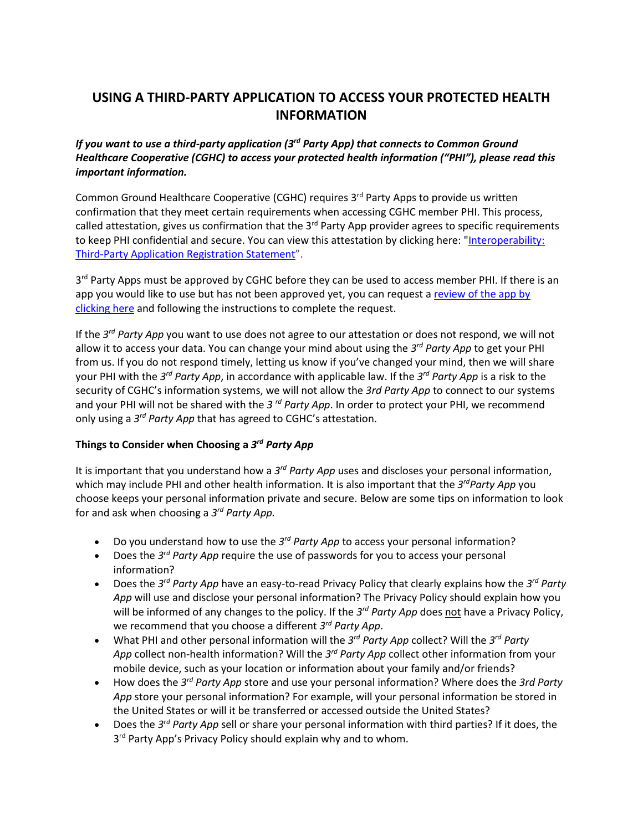# **USING A THIRD-PARTY APPLICATION TO ACCESS YOUR PROTECTED HEALTH INFORMATION**

*If you want to use a third-party application (3rd Party App) that connects to Common Ground Healthcare Cooperative (CGHC) to access your protected health information ("PHI"), please read this important information.*

Common Ground Healthcare Cooperative (CGHC) requires 3<sup>rd</sup> Party Apps to provide us written confirmation that they meet certain requirements when accessing CGHC member PHI. This process, called attestation, gives us confirmation that the  $3<sup>rd</sup>$  Party App provider agrees to specific requirements to keep PHI confidential and secure. You can view this attestation by clicking here: "Interoperability: Third-Party Application Registration Statement".

3rd Party Apps must be approved by CGHC before they can be used to access member PHI. If there is an app you would like to use but has not been approved yet, you can request a [review of the app](https://appregistry.changehealthcare.com/apps/request-app) by [clicking here](https://appregistry.changehealthcare.com/apps/request-app) and following the instructions to complete the request.

If the *3rd Party App* you want to use does not agree to our attestation or does not respond, we will not allow it to access your data. You can change your mind about using the *3rd Party App* to get your PHI from us. If you do not respond timely, letting us know if you've changed your mind, then we will share your PHI with the *3rd Party App*, in accordance with applicable law. If the *3rd Party App* is a risk to the security of CGHC's information systems, we will not allow the *3rd Party App* to connect to our systems and your PHI will not be shared with the *3 rd Party App*. In order to protect your PHI, we recommend only using a *3rd Party App* that has agreed to CGHC's attestation.

# **Things to Consider when Choosing a** *3rd Party App*

It is important that you understand how a *3rd Party App* uses and discloses your personal information, which may include PHI and other health information. It is also important that the 3<sup>rd</sup>Party App you choose keeps your personal information private and secure. Below are some tips on information to look for and ask when choosing a *3rd Party App.*

- Do you understand how to use the *3rd Party App* to access your personal information?
- Does the *3rd Party App* require the use of passwords for you to access your personal information?
- Does the *3rd Party App* have an easy-to-read Privacy Policy that clearly explains how the *3rd Party App* will use and disclose your personal information? The Privacy Policy should explain how you will be informed of any changes to the policy. If the *3rd Party App* does not have a Privacy Policy, we recommend that you choose a different *3rd Party App*.
- What PHI and other personal information will the *3rd Party App* collect? Will the *3rd Party App* collect non-health information? Will the *3rd Party App* collect other information from your mobile device, such as your location or information about your family and/or friends?
- How does the *3rd Party App* store and use your personal information? Where does the *3rd Party App* store your personal information? For example, will your personal information be stored in the United States or will it be transferred or accessed outside the United States?
- Does the *3rd Party App* sell or share your personal information with third parties? If it does, the 3<sup>rd</sup> Party App's Privacy Policy should explain why and to whom.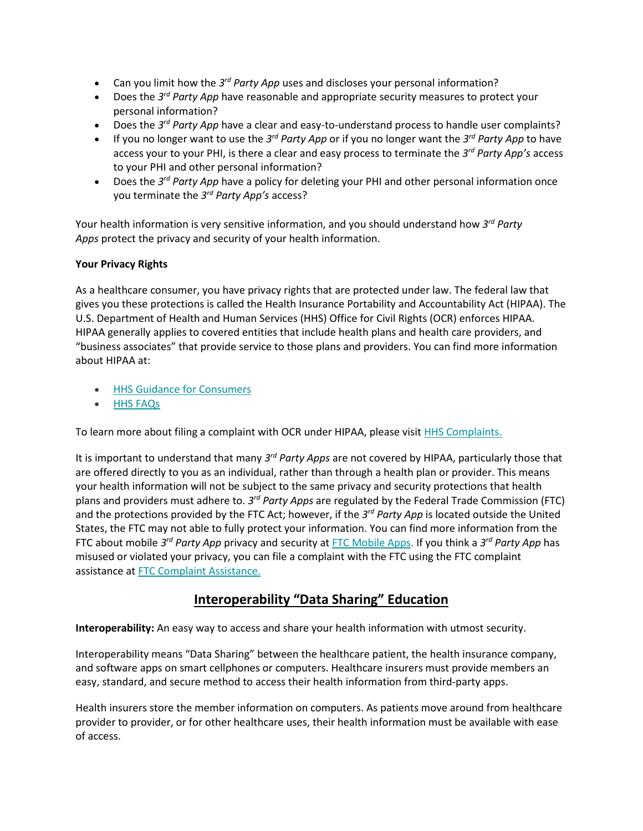- Can you limit how the *3rd Party App* uses and discloses your personal information?
- Does the *3rd Party App* have reasonable and appropriate security measures to protect your personal information?
- Does the *3rd Party App* have a clear and easy-to-understand process to handle user complaints?
- If you no longer want to use the *3rd Party App* or if you no longer want the *3rd Party App* to have access your to your PHI, is there a clear and easy process to terminate the *3rd Party App's* access to your PHI and other personal information?
- Does the *3rd Party App* have a policy for deleting your PHI and other personal information once you terminate the *3rd Party App's* access?

Your health information is very sensitive information, and you should understand how *3rd Party Apps* protect the privacy and security of your health information.

# **Your Privacy Rights**

As a healthcare consumer, you have privacy rights that are protected under law. The federal law that gives you these protections is called the Health Insurance Portability and Accountability Act (HIPAA). The U.S. Department of Health and Human Services (HHS) Office for Civil Rights (OCR) enforces HIPAA. HIPAA generally applies to covered entities that include health plans and health care providers, and "business associates" that provide service to those plans and providers. You can find more information about HIPAA at:

- [HHS Guidance for Consumers](https://www.hhs.gov/hipaa/for-individuals/index.html)
- **HHS FAQS**

To learn more about filing a complaint with OCR under HIPAA, please visit [HHS Complaints.](https://www.hhs.gov/hipaa/filing-a-complaint/index.html)

It is important to understand that many *3rd Party Apps* are not covered by HIPAA, particularly those that are offered directly to you as an individual, rather than through a health plan or provider. This means your health information will not be subject to the same privacy and security protections that health plans and providers must adhere to. *3rd Party Apps* are regulated by the Federal Trade Commission (FTC) and the protections provided by the FTC Act; however, if the *3rd Party App* is located outside the United States, the FTC may not able to fully protect your information. You can find more information from the FTC about mobile *3rd Party App* privacy and security at [FTC Mobile Apps.](https://www.consumer.ftc.gov/articles/0018-understanding-mobile-apps) If you think a *3rd Party App* has misused or violated your privacy, you can file a complaint with the FTC using the FTC complaint assistance at [FTC Complaint Assistance.](https://www.ftccomplaintassistant.gov/&panel1-1#crnt)

# **Interoperability "Data Sharing" Education**

**Interoperability:** An easy way to access and share your health information with utmost security.

Interoperability means "Data Sharing" between the healthcare patient, the health insurance company, and software apps on smart cellphones or computers. Healthcare insurers must provide members an easy, standard, and secure method to access their health information from third-party apps.

Health insurers store the member information on computers. As patients move around from healthcare provider to provider, or for other healthcare uses, their health information must be available with ease of access.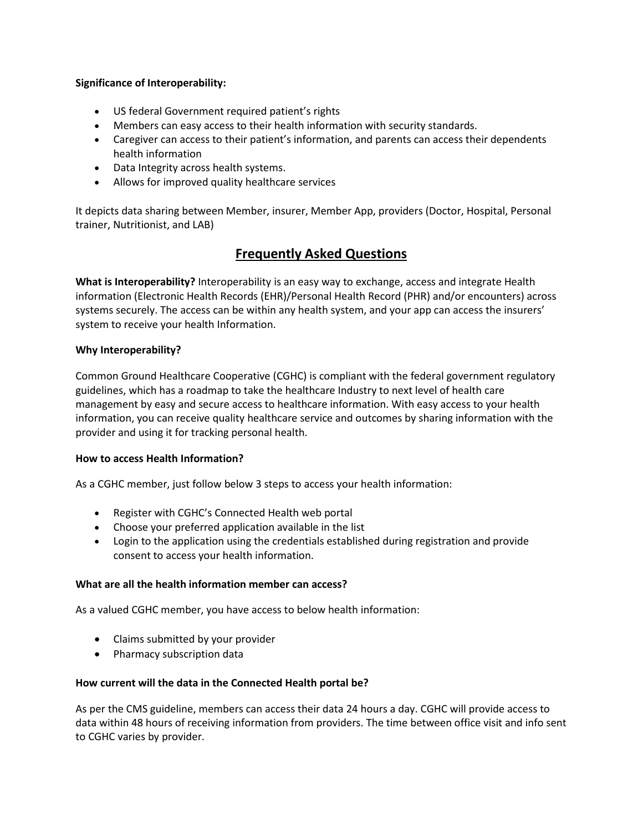### **Significance of Interoperability:**

- US federal Government required patient's rights
- Members can easy access to their health information with security standards.
- Caregiver can access to their patient's information, and parents can access their dependents health information
- Data Integrity across health systems.
- Allows for improved quality healthcare services

It depicts data sharing between Member, insurer, Member App, providers (Doctor, Hospital, Personal trainer, Nutritionist, and LAB)

# **Frequently Asked Questions**

**What is Interoperability?** Interoperability is an easy way to exchange, access and integrate Health information (Electronic Health Records (EHR)/Personal Health Record (PHR) and/or encounters) across systems securely. The access can be within any health system, and your app can access the insurers' system to receive your health Information.

# **Why Interoperability?**

Common Ground Healthcare Cooperative (CGHC) is compliant with the federal government regulatory guidelines, which has a roadmap to take the healthcare Industry to next level of health care management by easy and secure access to healthcare information. With easy access to your health information, you can receive quality healthcare service and outcomes by sharing information with the provider and using it for tracking personal health.

### **How to access Health Information?**

As a CGHC member, just follow below 3 steps to access your health information:

- Register with CGHC's Connected Health web portal
- Choose your preferred application available in the list
- Login to the application using the credentials established during registration and provide consent to access your health information.

### **What are all the health information member can access?**

As a valued CGHC member, you have access to below health information:

- Claims submitted by your provider
- Pharmacy subscription data

### **How current will the data in the Connected Health portal be?**

As per the CMS guideline, members can access their data 24 hours a day. CGHC will provide access to data within 48 hours of receiving information from providers. The time between office visit and info sent to CGHC varies by provider.